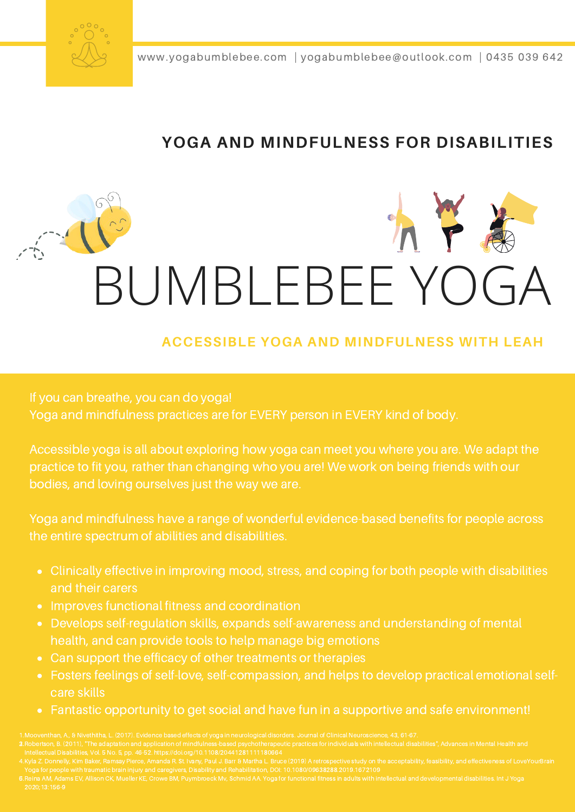

www.yogabumblebee.com | yogabumblebee@outlook.com | 0435 039 642

#### **YOGA AND MINDFULNESS FOR DISABILITIES**

# BUMBLEBEE YOGA

#### **ACCESSIBLE YOGA AND MINDFULNESS WITH LEAH**

If you can breathe, you can do yoga! Yoga and mindfulness practices are for EVERY person in EVERY kind of body.

Accessible yoga is all about exploring how yoga can meet you where you are. We adapt the practice to fit you, rather than changing who you are! We work on being friends with our bodies, and loving ourselves just the way we are.

Yoga and mindfulness have a range of wonderful evidence-based benefits for people across the entire spectrum of abilities and disabilities.

- Clinically effective in improving mood, stress, and coping for both people with disabilities and their carers
- Improves functional fitness and coordination
- Develops self-regulation skills, expands self-awareness and understanding of mental health, and can provide tools to help manage big emotions
- Can support the efficacy of other treatments or therapies
- Fosters feelings of self-love, self-compassion, and helps to develop practical emotional selfcare skills
- Fantastic opportunity to get social and have fun in a supportive and safe environment!

- 
- 
-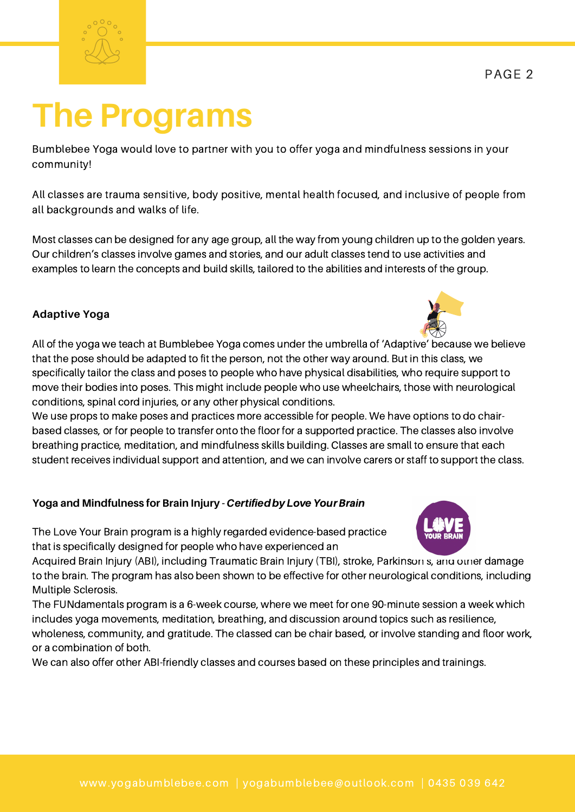## **The Programs**

Bumblebee Yoga would love to partner with you to offer yoga and mindfulness sessions in your community!

All classes are trauma sensitive, body positive, mental health focused, and inclusive of people from all backgrounds and walks of life.

Most classes can be designed for any age group, all the way from young children up to the golden years. Our children's classes involve games and stories, and our adult classes tend to use activities and examples to learn the concepts and build skills, tailored to the abilities and interests of the group.

#### **Adaptive Yoga**

All of the yoga we teach at Bumblebee Yoga comes under the umbrella of 'Adaptive' because we believe that the pose should be adapted to fit the person, not the other way around. But in this class, we specifically tailor the class and poses to people who have physical disabilities, who require support to move their bodies into poses. This might include people who use wheelchairs, those with neurological conditions, spinal cord injuries, or any other physical conditions.

We use props to make poses and practices more accessible for people. We have options to do chairbased classes, or for people to transfer onto the floor for a supported practice. The classes also involve breathing practice, meditation, and mindfulness skills building. Classes are small to ensure that each student receives individual support and attention, and we can involve carers or staff to support the class.

#### **Yoga** and Mindfulness for Brain Injury - Certified by Love Your Brain

The Love Your Brain program is a highly regarded evidence-based practice that is specifically designed for people who have experienced an

Acquired Brain Injury (ABI), including Traumatic Brain Injury (TBI), stroke, Parkinson s, and other damage to the brain. The program has also been shown to be effective for other neurological conditions, including Multiple Sclerosis.

The FUNdamentals program is a 6-week course, where we meet for one 90-minute session a week which includes yoga movements, meditation, breathing, and discussion around topics such as resilience, wholeness, community, and gratitude. The classed can be chair based, or involve standing and floor work, or a combination of both.

We can also offer other ABI-friendly classes and courses based on these principles and trainings.





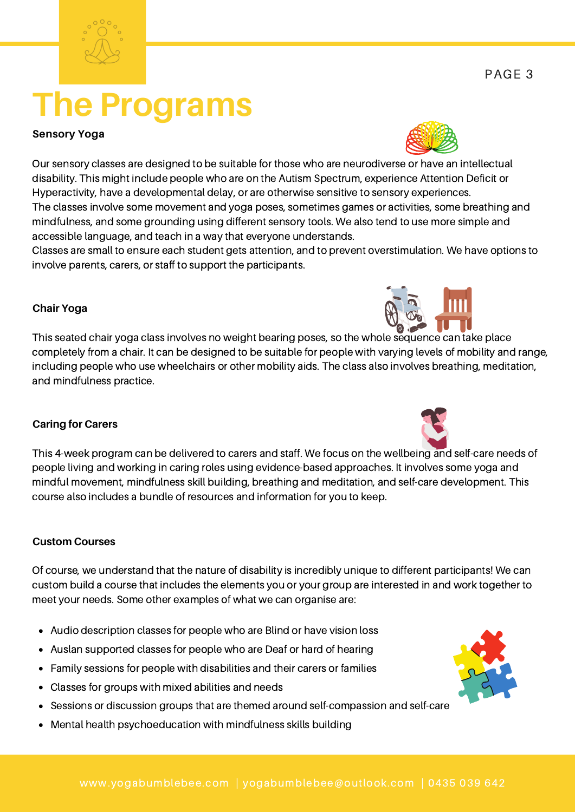### **Chair Yoga**

This seated chair yoga class involves no weight bearing poses, so the whole sequence can take place completely from a chair. It can be designed to be suitable for people with varying levels of mobility and range, including people who use wheelchairs or other mobility aids. The class also involves breathing, meditation, and mindfulness practice.

#### **Caring for Carers**

This 4-week program can be delivered to carers and staff. We focus on the wellbeing and self-care needs of people living and working in caring roles using evidence-based approaches. It involves some yoga and mindful movement, mindfulness skill building, breathing and meditation, and self-care development. This course also includes a bundle of resources and information for you to keep.

#### **Custom Courses**

Of course, we understand that the nature of disability is incredibly unique to different participants! We can custom build a course that includes the elements you or your group are interested in and work together to meet your needs. Some other examples of what we can organise are:

- Audio description classes for people who are Blind or have vision loss
- Auslan supported classes for people who are Deaf or hard of hearing
- Family sessions for people with disabilities and their carers or families
- Classes for groups with mixed abilities and needs
- Sessions or discussion groups that are themed around self-compassion and self-care
- Mental health psychoeducation with mindfulness skills building

## **The Programs**

#### **Sensory Yoga**

Our sensory classes are designed to be suitable for those who are neurodiverse or have an intellectual disability. This might include people who are on the Autism Spectrum, experience Attention Deficit or Hyperactivity, have a developmental delay, or are otherwise sensitive to sensory experiences. The classes involve some movement and yoga poses, sometimes games or activities, some breathing and mindfulness, and some grounding using different sensory tools. We also tend to use more simple and accessible language, and teach in a way that everyone understands.

Classes are small to ensure each student gets attention, and to prevent overstimulation. We have options to involve parents, carers, or staff to support the participants.





PAGE 3